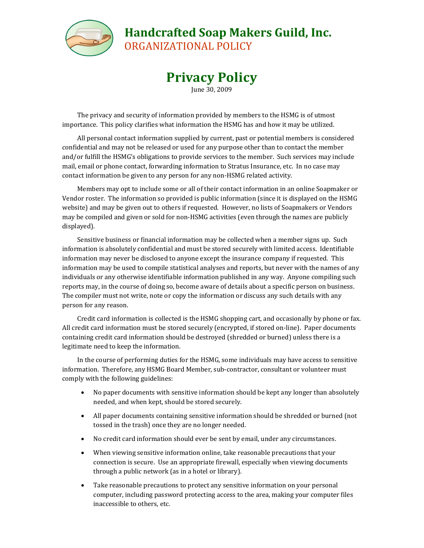

## **Handcrafted Soap Makers Guild, Inc.**

ORGANIZATIONAL POLICY

## **Privacy Policy**

June 30, 2009

The privacy and security of information provided by members to the HSMG is of utmost importance. This policy clarifies what information the HSMG has and how it may be utilized.

All personal contact information supplied by current, past or potential members is considered confidential and may not be released or used for any purpose other than to contact the member and/or fulfill the HSMG's obligations to provide services to the member. Such services may include mail, email or phone contact, forwarding information to Stratus Insurance, etc. In no case may contact information be given to any person for any non-HSMG related activity.

Members may opt to include some or all of their contact information in an online Soapmaker or Vendor roster. The information so provided is public information (since it is displayed on the HSMG website) and may be given out to others if requested. However, no lists of Soapmakers or Vendors may be compiled and given or sold for non-HSMG activities (even through the names are publicly displayed).

Sensitive business or financial information may be collected when a member signs up. Such information is absolutely confidential and must be stored securely with limited access. Identifiable information may never be disclosed to anyone except the insurance company if requested. This information may be used to compile statistical analyses and reports, but never with the names of any individuals or any otherwise identifiable information published in any way. Anyone compiling such reports may, in the course of doing so, become aware of details about a specific person on business. The compiler must not write, note or copy the information or discuss any such details with any person for any reason.

Credit card information is collected is the HSMG shopping cart, and occasionally by phone or fax. All credit card information must be stored securely (encrypted, if stored on-line). Paper documents containing credit card information should be destroyed (shredded or burned) unless there is a legitimate need to keep the information.

In the course of performing duties for the HSMG, some individuals may have access to sensitive information. Therefore, any HSMG Board Member, sub-contractor, consultant or volunteer must comply with the following guidelines:

- No paper documents with sensitive information should be kept any longer than absolutely needed, and when kept, should be stored securely.
- All paper documents containing sensitive information should be shredded or burned (not tossed in the trash) once they are no longer needed.
- No credit card information should ever be sent by email, under any circumstances.
- When viewing sensitive information online, take reasonable precautions that your connection is secure. Use an appropriate firewall, especially when viewing documents through a public network (as in a hotel or library).
- Take reasonable precautions to protect any sensitive information on your personal computer, including password protecting access to the area, making your computer files inaccessible to others, etc.